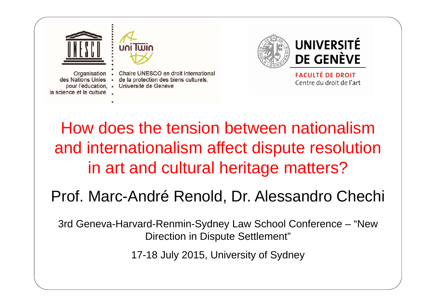

## How does the tension between nationalism and internationalism affect dispute resolution in art and cultural heritage matters?

#### Prof. Marc-André Renold, Dr. Alessandro Chechi

3rd Geneva-Harvard-Renmin-Sydney Law School Conference – "New Direction in Dispute Settlement"

17-18 July 2015, University of Sydney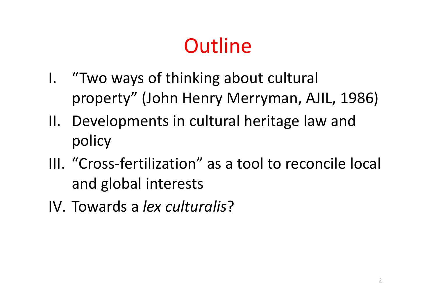# **Outline**

- I. "Two ways of thinking about cultural property" (John Henry Merryman, AJIL, 1986)
- II. Developments in cultural heritage law and policy
- III. "Cross‐fertilization" as a tool to reconcile local and global interests
- IV. Towards a *lex culturalis*?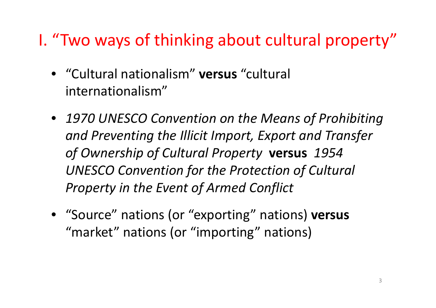## I. "Two ways of thinking about cultural property"

- "Cultural nationalism" **versus** "cultural internationalism"
- *1970 UNESCO Convention on the Means of Prohibiting and Preventing the Illicit Import, Export and Transfer of Ownership of Cultural Property* **versus** *1954 UNESCO Convention for the Protection of Cultural Property in the Event of Armed Conflict*
- "Source" nations (or "exporting" nations) **versus** "market" nations (or "importing" nations)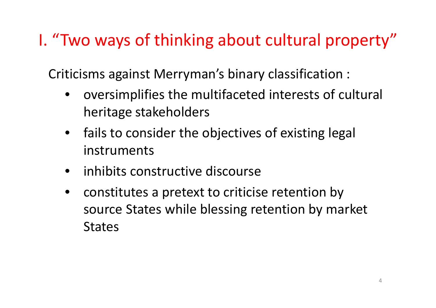## I. "Two ways of thinking about cultural property"

Criticisms against Merryman's binary classification :

- • oversimplifies the multifaceted interests of cultural heritage stakeholders
- $\bullet$ • fails to consider the objectives of existing legal instruments
- inhibits constructive discourse
- $\bullet$ • constitutes a pretext to criticise retention by source States while blessing retention by market States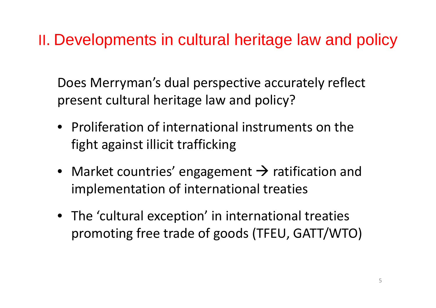#### II. Developments in cultural heritage law and policy

Does Merryman's dual perspective accurately reflect present cultural heritage law and policy?

- Proliferation of international instruments on the fight against illicit trafficking
- Market countries' engagement  $\rightarrow$  ratification and implementation of international treaties
- The 'cultural exception' in international treaties promoting free trade of goods (TFEU, GATT/WTO)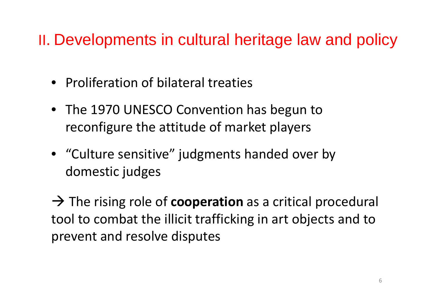#### II. Developments in cultural heritage law and policy

- Proliferation of bilateral treaties
- The 1970 UNESCO Convention has begun to reconfigure the attitude of market players
- "Culture sensitive" judgments handed over by domestic judges

→ The rising role of **cooperation** as a critical procedural tool to combat the illicit trafficking in art objects and to prevent and resolve disputes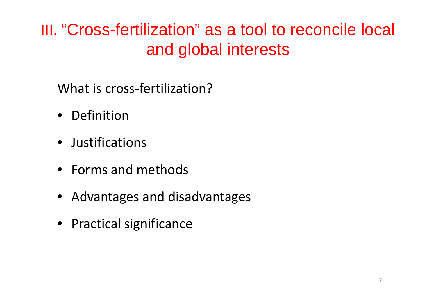What is cross-fertilization?

- Definition
- Justifications
- Forms and methods
- Advantages and disadvantages
- Practical significance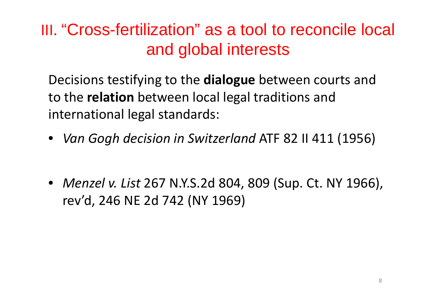Decisions testifying to the **dialogue** between courts and to the **relation** between local legal traditions and international legal standards:

- *Van Gogh decision in Switzerland* ATF 82 II 411 (1956)
- *Menzel v. List* 267 N.Y.S.2d 804, 809 (Sup. Ct. NY 1966), rev'd, 246 NE 2d 742 (NY 1969)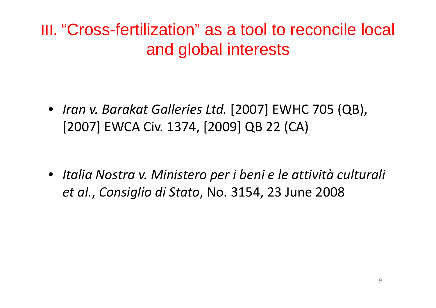• *Iran v. Barakat Galleries Ltd.* [2007] EWHC 705 (QB), [2007] EWCA Civ. 1374, [2009] QB 22 (CA)

• *Italia Nostra v. Ministero per i beni <sup>e</sup> le attività culturali et al.*, *Consiglio di Stato*, No. 3154, 23 June 2008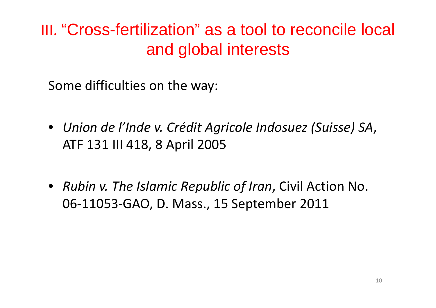Some difficulties on the way:

- *Union de l'Inde v. Crédit Agricole Indosuez (Suisse) SA*, ATF 131 III 418, 8 April 2005
- *Rubin v. The Islamic Republic of Iran*, Civil Action No. 06‐11053‐GAO, D. Mass., 15 September 2011